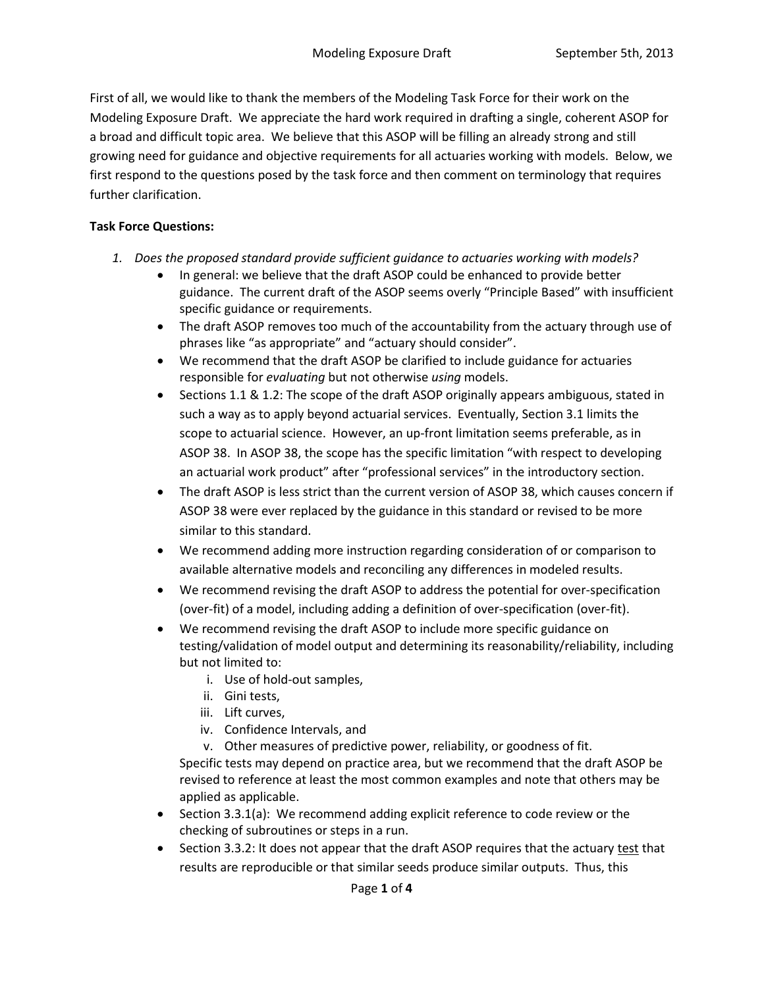First of all, we would like to thank the members of the Modeling Task Force for their work on the Modeling Exposure Draft. We appreciate the hard work required in drafting a single, coherent ASOP for a broad and difficult topic area. We believe that this ASOP will be filling an already strong and still growing need for guidance and objective requirements for all actuaries working with models. Below, we first respond to the questions posed by the task force and then comment on terminology that requires further clarification.

## **Task Force Questions:**

- *1. Does the proposed standard provide sufficient guidance to actuaries working with models?*
	- In general: we believe that the draft ASOP could be enhanced to provide better guidance. The current draft of the ASOP seems overly "Principle Based" with insufficient specific guidance or requirements.
	- The draft ASOP removes too much of the accountability from the actuary through use of phrases like "as appropriate" and "actuary should consider".
	- We recommend that the draft ASOP be clarified to include guidance for actuaries responsible for *evaluating* but not otherwise *using* models.
	- Sections 1.1 & 1.2: The scope of the draft ASOP originally appears ambiguous, stated in such a way as to apply beyond actuarial services. Eventually, Section 3.1 limits the scope to actuarial science. However, an up-front limitation seems preferable, as in ASOP 38. In ASOP 38, the scope has the specific limitation "with respect to developing an actuarial work product" after "professional services" in the introductory section.
	- The draft ASOP is less strict than the current version of ASOP 38, which causes concern if ASOP 38 were ever replaced by the guidance in this standard or revised to be more similar to this standard.
	- We recommend adding more instruction regarding consideration of or comparison to available alternative models and reconciling any differences in modeled results.
	- We recommend revising the draft ASOP to address the potential for over-specification (over-fit) of a model, including adding a definition of over-specification (over-fit).
	- We recommend revising the draft ASOP to include more specific guidance on testing/validation of model output and determining its reasonability/reliability, including but not limited to:
		- i. Use of hold-out samples,
		- ii. Gini tests,
		- iii. Lift curves,
		- iv. Confidence Intervals, and
		- v. Other measures of predictive power, reliability, or goodness of fit. Specific tests may depend on practice area, but we recommend that the draft ASOP be revised to reference at least the most common examples and note that others may be applied as applicable.
	- Section 3.3.1(a): We recommend adding explicit reference to code review or the checking of subroutines or steps in a run.
	- Section 3.3.2: It does not appear that the draft ASOP requires that the actuary test that results are reproducible or that similar seeds produce similar outputs. Thus, this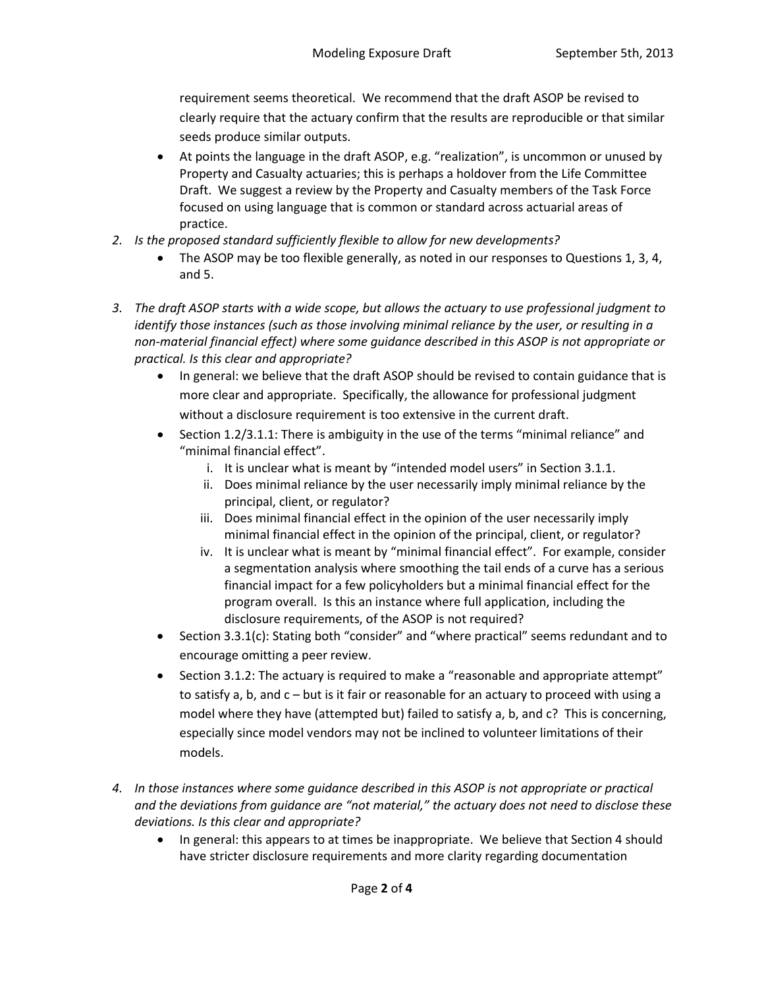requirement seems theoretical. We recommend that the draft ASOP be revised to clearly require that the actuary confirm that the results are reproducible or that similar seeds produce similar outputs.

- At points the language in the draft ASOP, e.g. "realization", is uncommon or unused by Property and Casualty actuaries; this is perhaps a holdover from the Life Committee Draft. We suggest a review by the Property and Casualty members of the Task Force focused on using language that is common or standard across actuarial areas of practice.
- *2. Is the proposed standard sufficiently flexible to allow for new developments?*
	- The ASOP may be too flexible generally, as noted in our responses to Questions 1, 3, 4, and 5.
- *3. The draft ASOP starts with a wide scope, but allows the actuary to use professional judgment to identify those instances (such as those involving minimal reliance by the user, or resulting in a non-material financial effect) where some guidance described in this ASOP is not appropriate or practical. Is this clear and appropriate?*
	- In general: we believe that the draft ASOP should be revised to contain guidance that is more clear and appropriate. Specifically, the allowance for professional judgment without a disclosure requirement is too extensive in the current draft.
	- Section 1.2/3.1.1: There is ambiguity in the use of the terms "minimal reliance" and "minimal financial effect".
		- i. It is unclear what is meant by "intended model users" in Section 3.1.1.
		- ii. Does minimal reliance by the user necessarily imply minimal reliance by the principal, client, or regulator?
		- iii. Does minimal financial effect in the opinion of the user necessarily imply minimal financial effect in the opinion of the principal, client, or regulator?
		- iv. It is unclear what is meant by "minimal financial effect". For example, consider a segmentation analysis where smoothing the tail ends of a curve has a serious financial impact for a few policyholders but a minimal financial effect for the program overall. Is this an instance where full application, including the disclosure requirements, of the ASOP is not required?
	- Section 3.3.1(c): Stating both "consider" and "where practical" seems redundant and to encourage omitting a peer review.
	- Section 3.1.2: The actuary is required to make a "reasonable and appropriate attempt" to satisfy a, b, and c – but is it fair or reasonable for an actuary to proceed with using a model where they have (attempted but) failed to satisfy a, b, and c? This is concerning, especially since model vendors may not be inclined to volunteer limitations of their models.
- *4. In those instances where some guidance described in this ASOP is not appropriate or practical and the deviations from guidance are "not material," the actuary does not need to disclose these deviations. Is this clear and appropriate?*
	- In general: this appears to at times be inappropriate. We believe that Section 4 should have stricter disclosure requirements and more clarity regarding documentation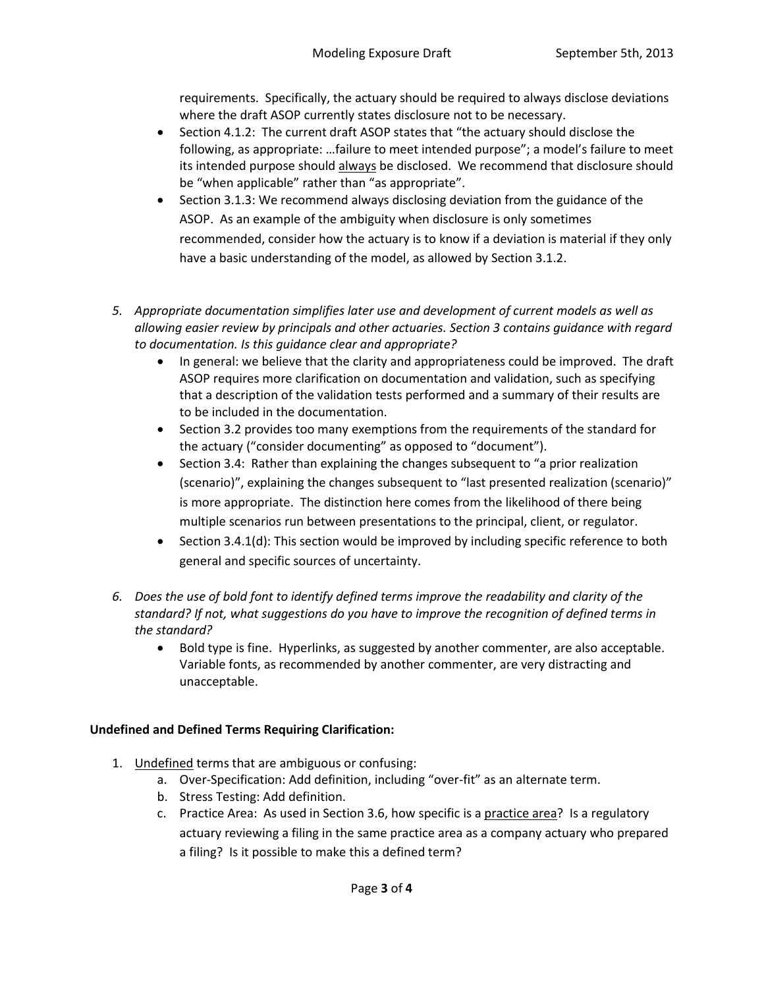requirements. Specifically, the actuary should be required to always disclose deviations where the draft ASOP currently states disclosure not to be necessary.

- Section 4.1.2: The current draft ASOP states that "the actuary should disclose the following, as appropriate: …failure to meet intended purpose"; a model's failure to meet its intended purpose should always be disclosed. We recommend that disclosure should be "when applicable" rather than "as appropriate".
- Section 3.1.3: We recommend always disclosing deviation from the guidance of the ASOP. As an example of the ambiguity when disclosure is only sometimes recommended, consider how the actuary is to know if a deviation is material if they only have a basic understanding of the model, as allowed by Section 3.1.2.
- *5. Appropriate documentation simplifies later use and development of current models as well as allowing easier review by principals and other actuaries. Section 3 contains guidance with regard to documentation. Is this guidance clear and appropriate?*
	- In general: we believe that the clarity and appropriateness could be improved. The draft ASOP requires more clarification on documentation and validation, such as specifying that a description of the validation tests performed and a summary of their results are to be included in the documentation.
	- Section 3.2 provides too many exemptions from the requirements of the standard for the actuary ("consider documenting" as opposed to "document").
	- Section 3.4: Rather than explaining the changes subsequent to "a prior realization (scenario)", explaining the changes subsequent to "last presented realization (scenario)" is more appropriate. The distinction here comes from the likelihood of there being multiple scenarios run between presentations to the principal, client, or regulator.
	- Section 3.4.1(d): This section would be improved by including specific reference to both general and specific sources of uncertainty.
- *6. Does the use of bold font to identify defined terms improve the readability and clarity of the standard? If not, what suggestions do you have to improve the recognition of defined terms in the standard?*
	- Bold type is fine. Hyperlinks, as suggested by another commenter, are also acceptable. Variable fonts, as recommended by another commenter, are very distracting and unacceptable.

## **Undefined and Defined Terms Requiring Clarification:**

- 1. Undefined terms that are ambiguous or confusing:
	- a. Over-Specification: Add definition, including "over-fit" as an alternate term.
	- b. Stress Testing: Add definition.
	- c. Practice Area: As used in Section 3.6, how specific is a practice area? Is a regulatory actuary reviewing a filing in the same practice area as a company actuary who prepared a filing? Is it possible to make this a defined term?